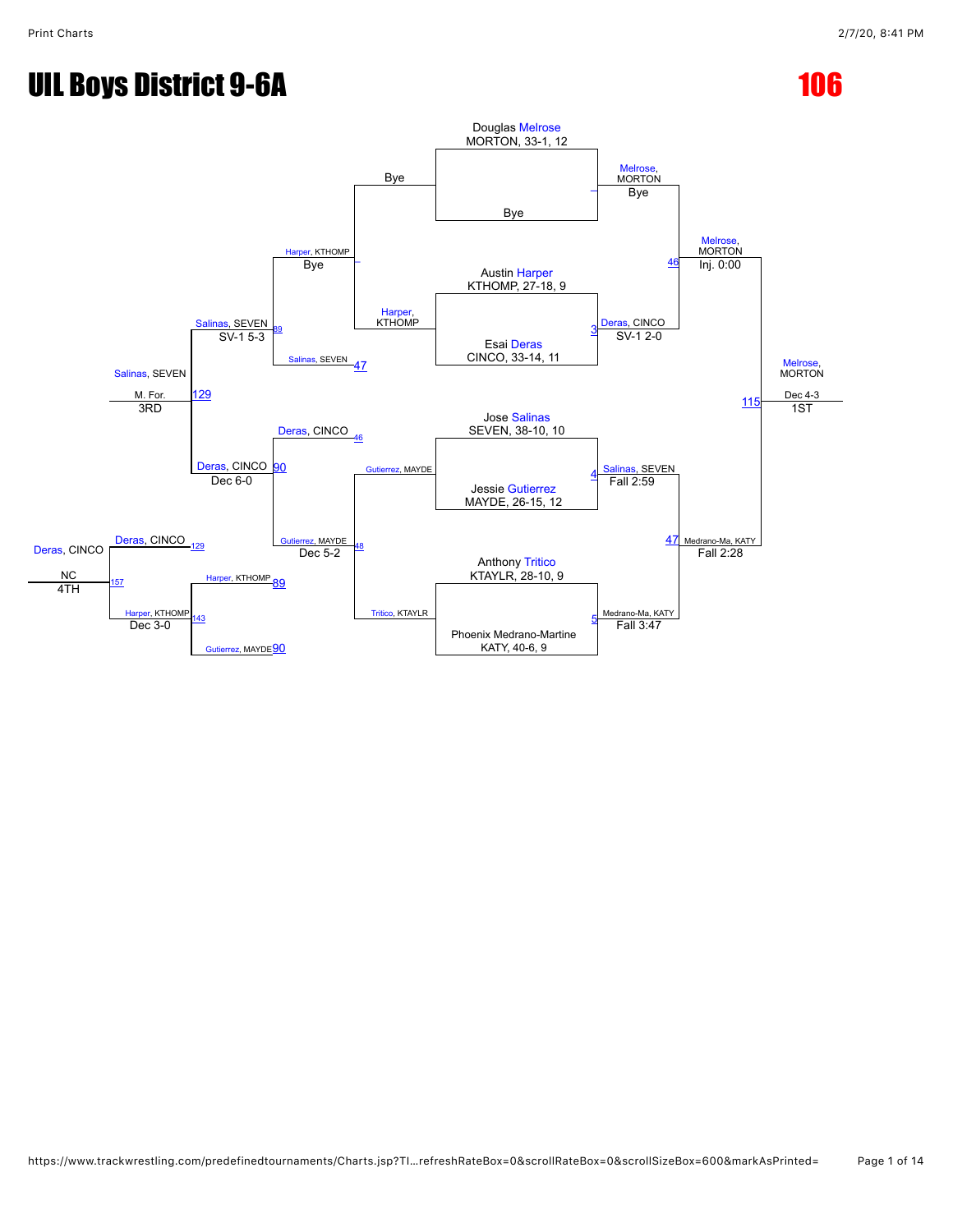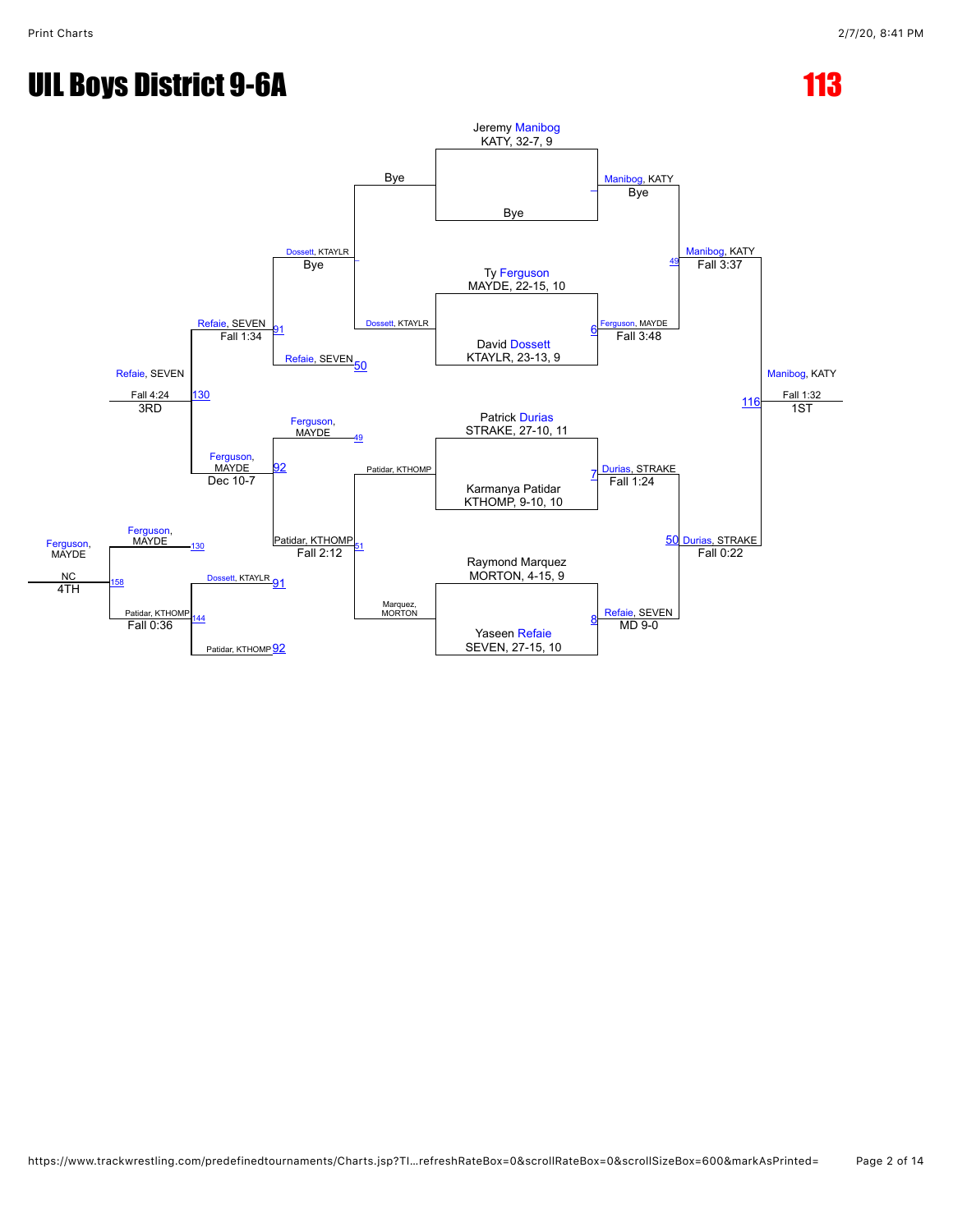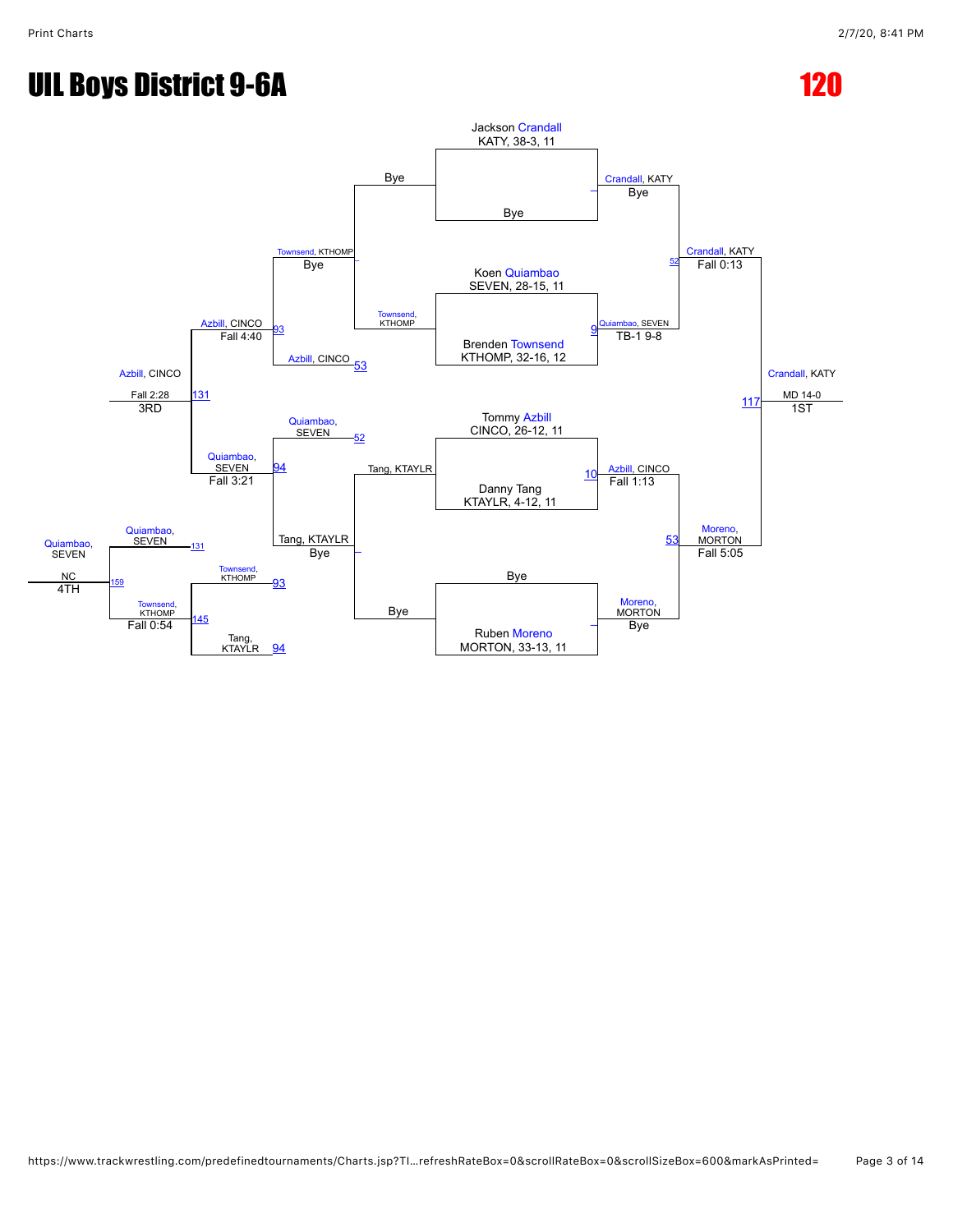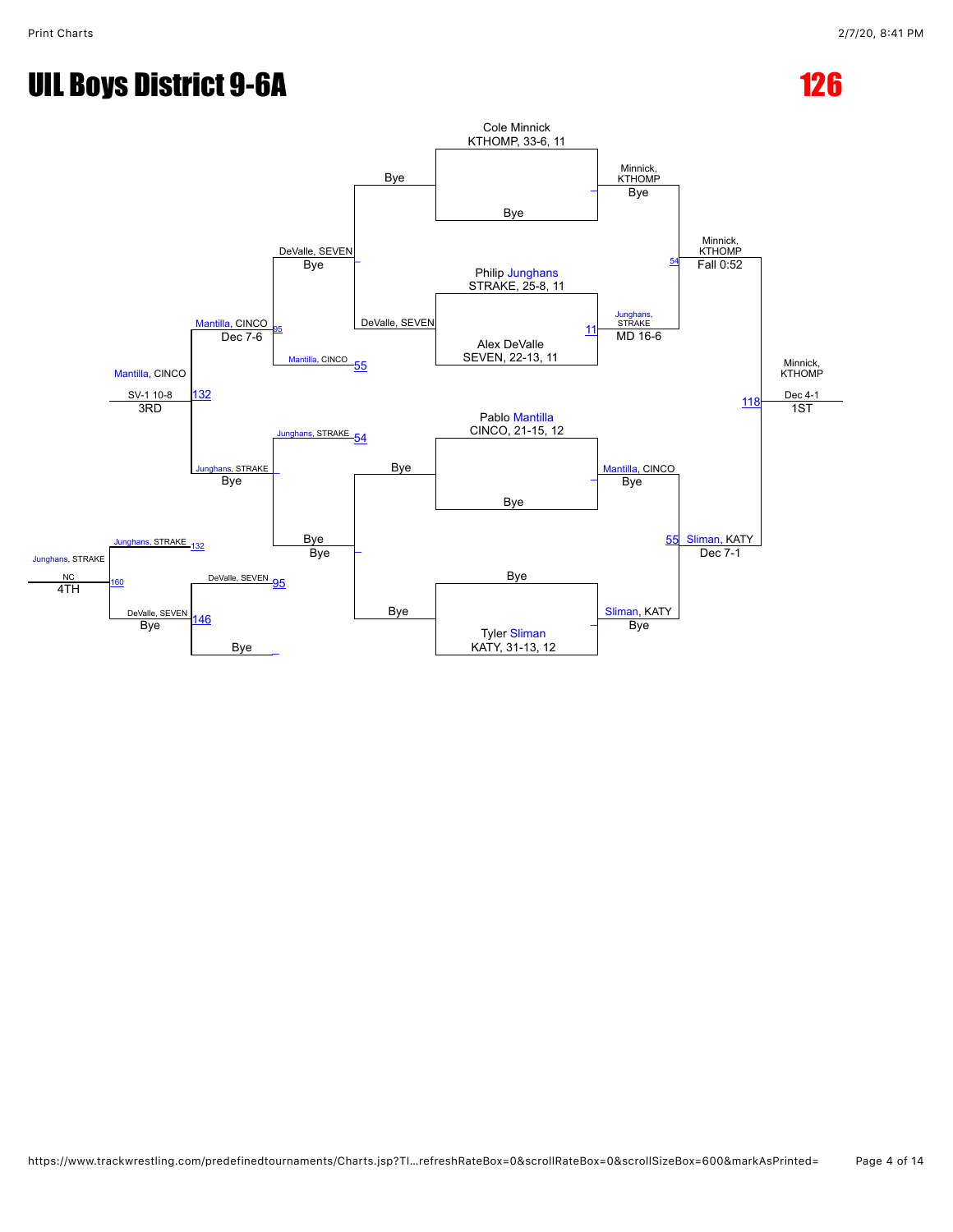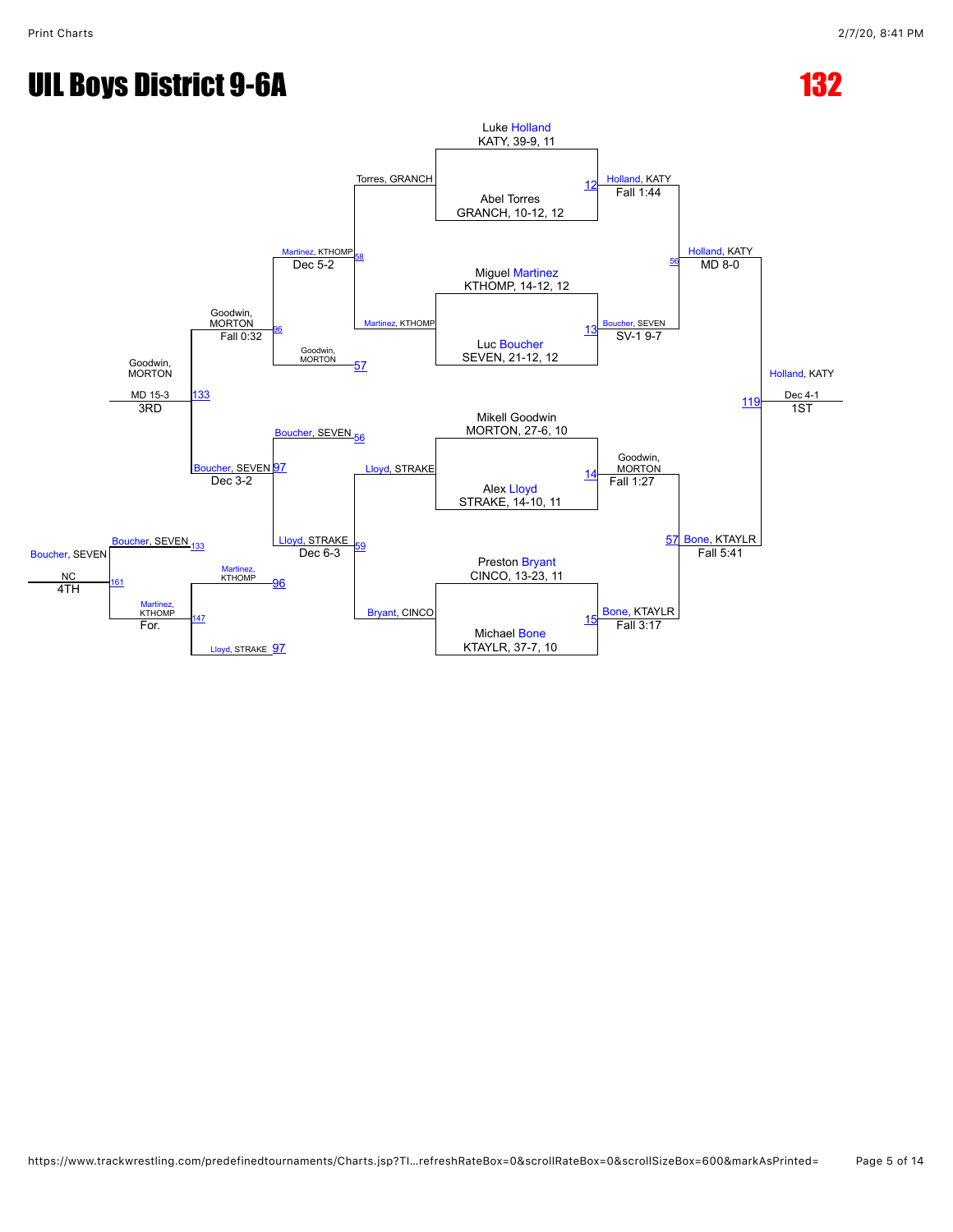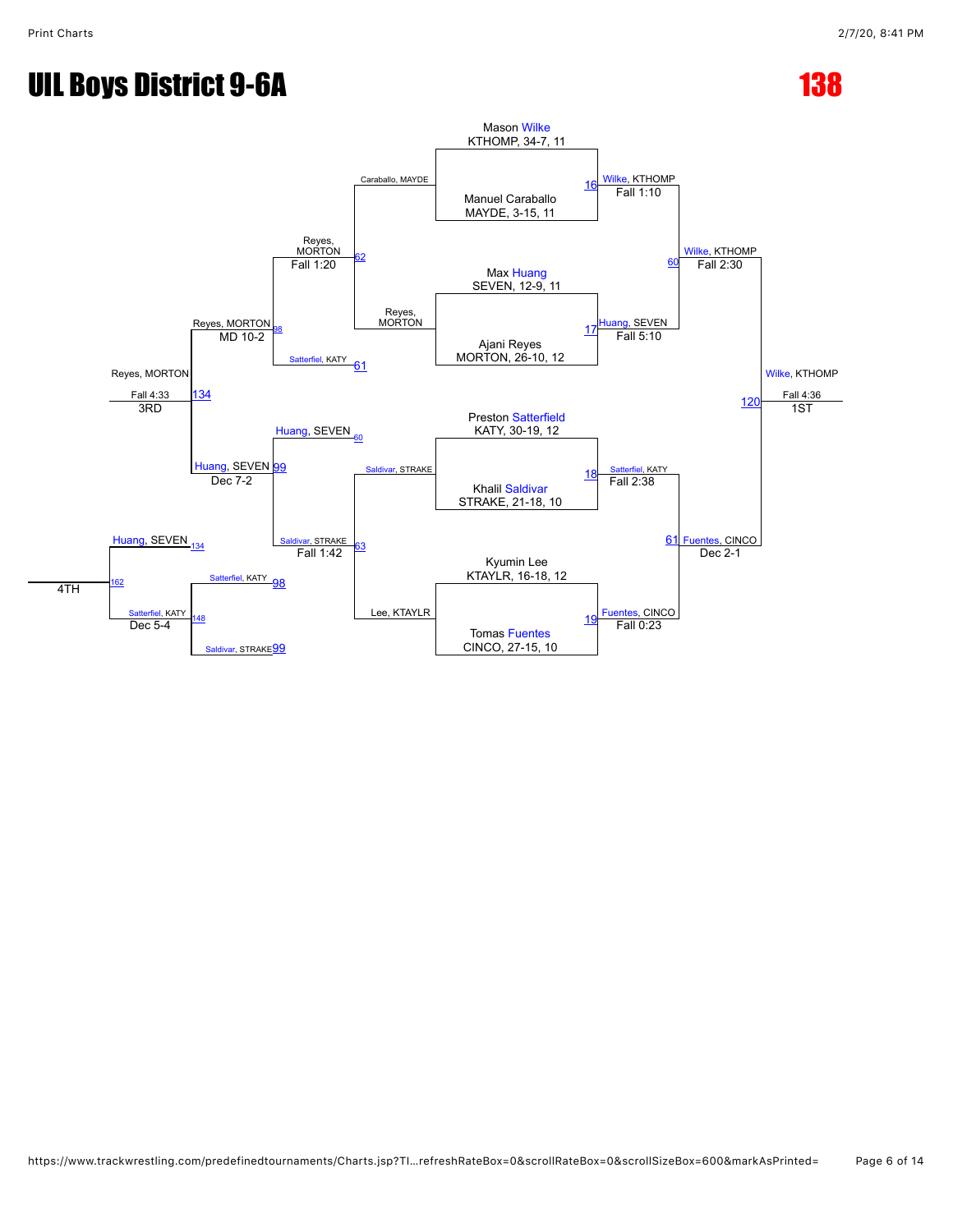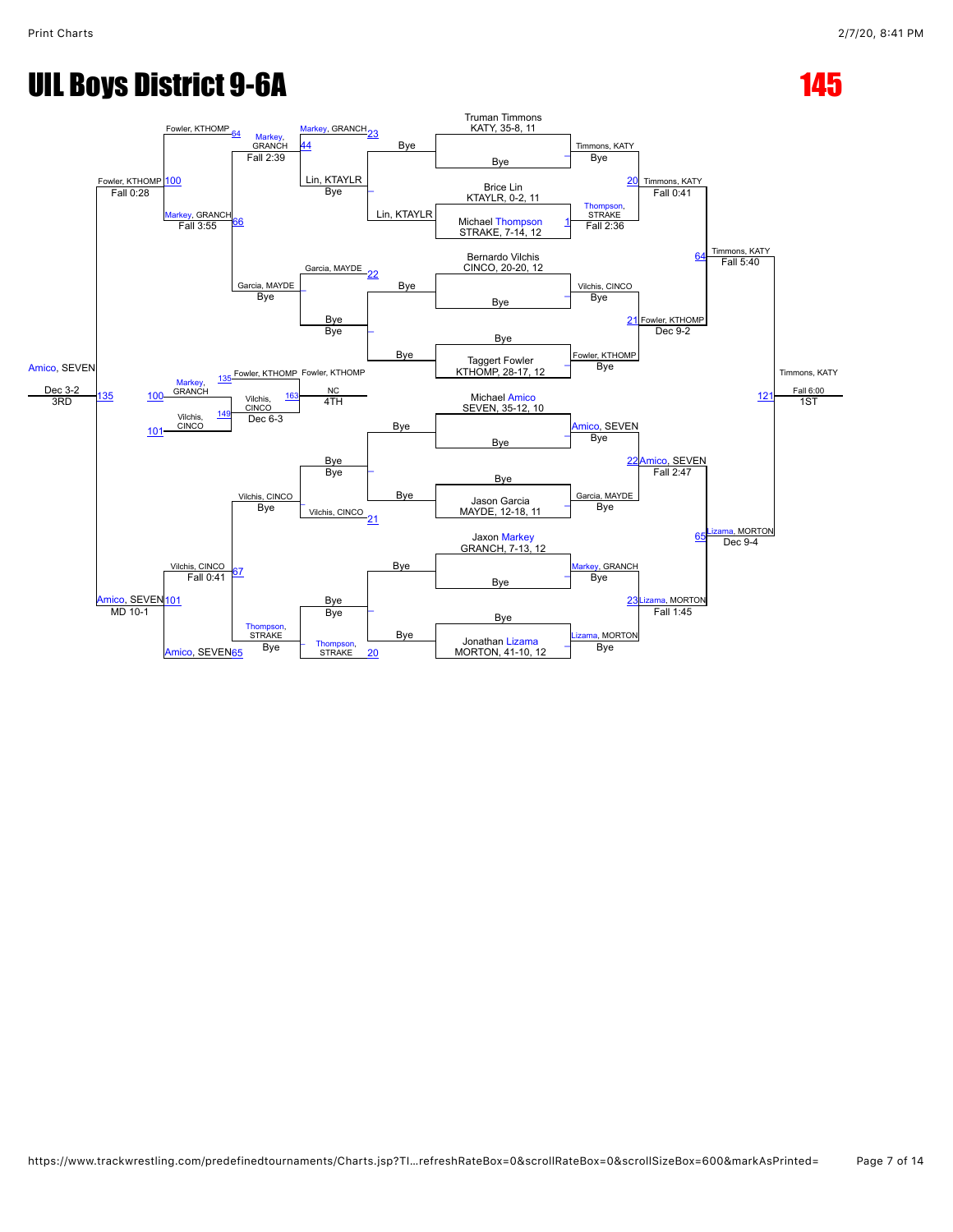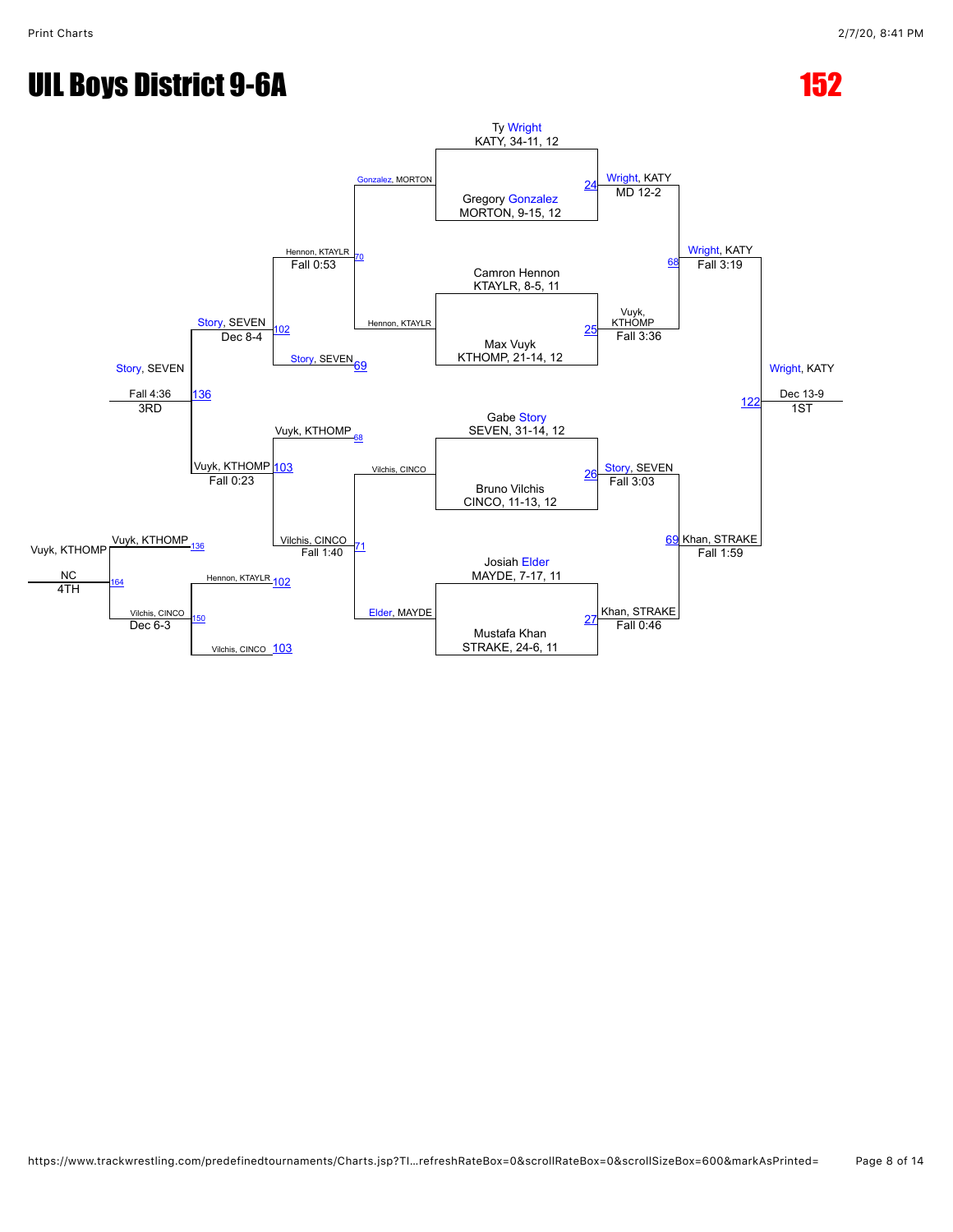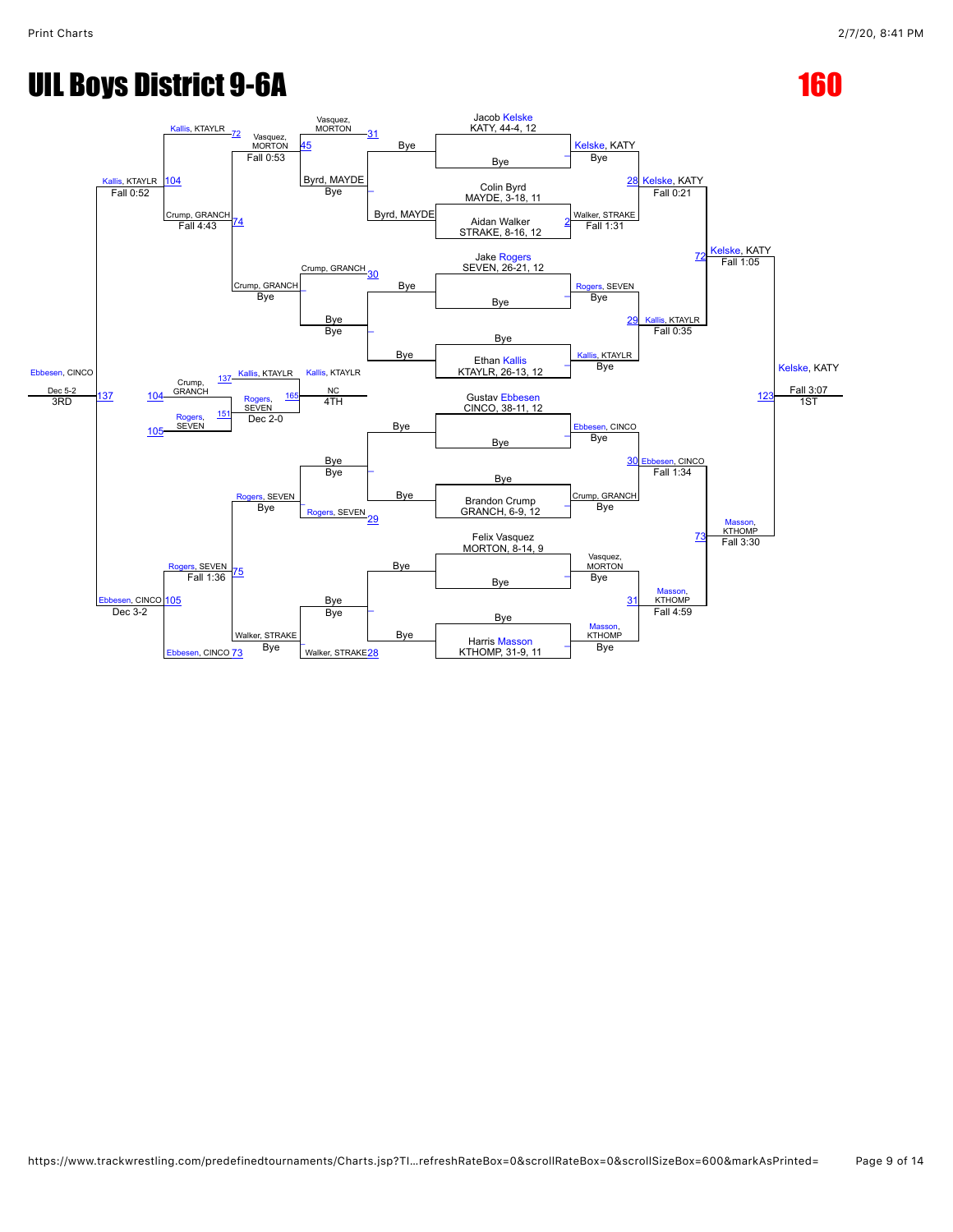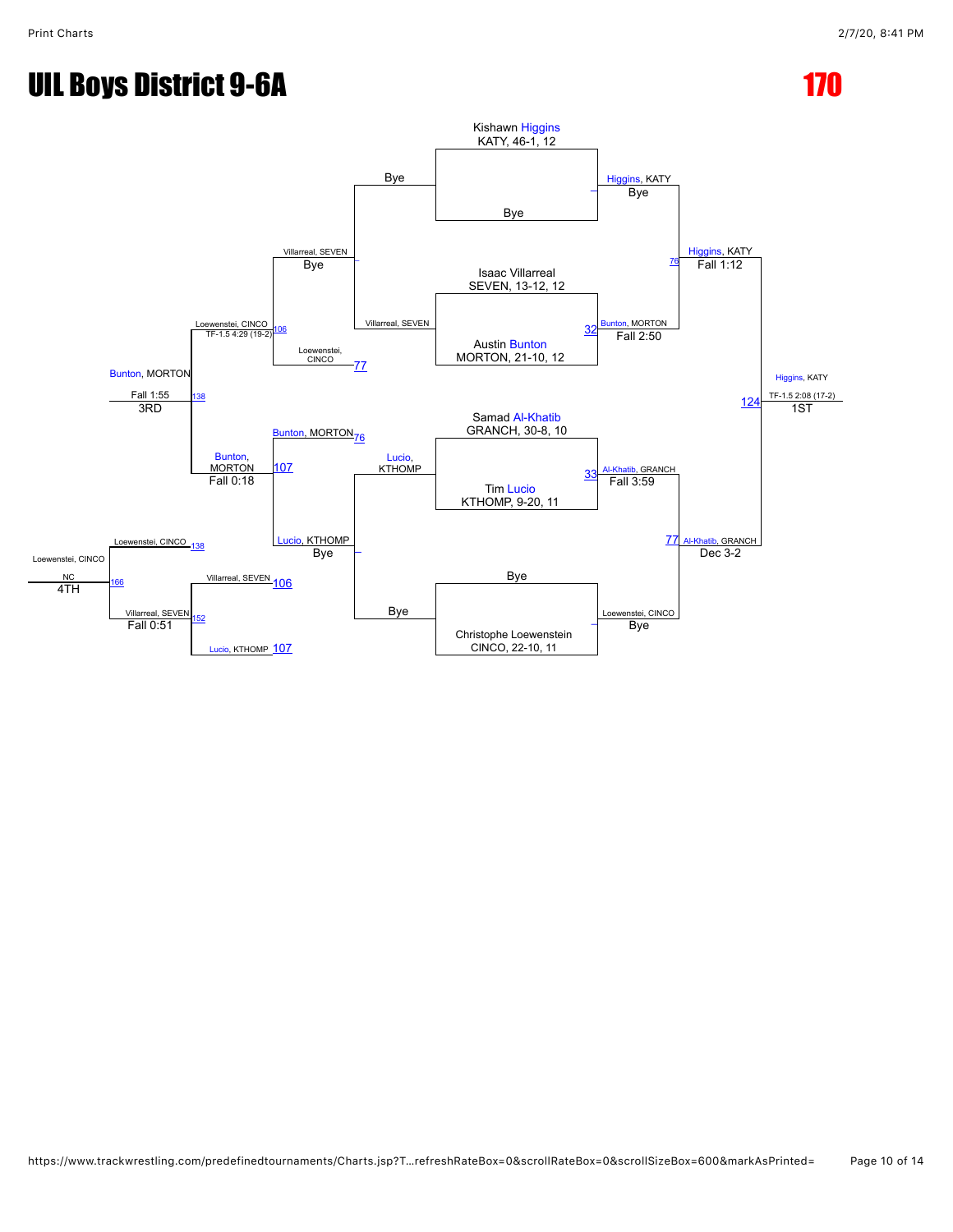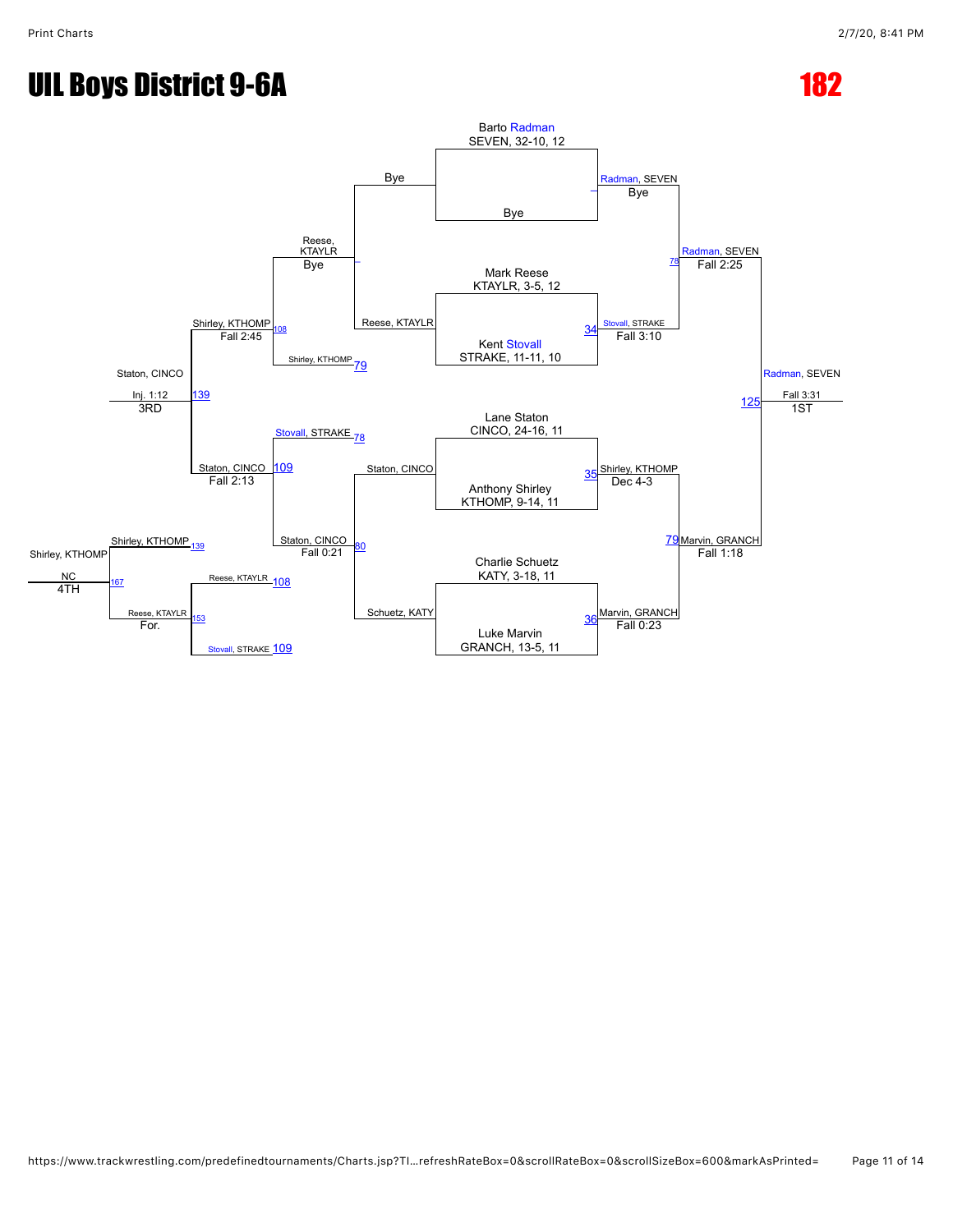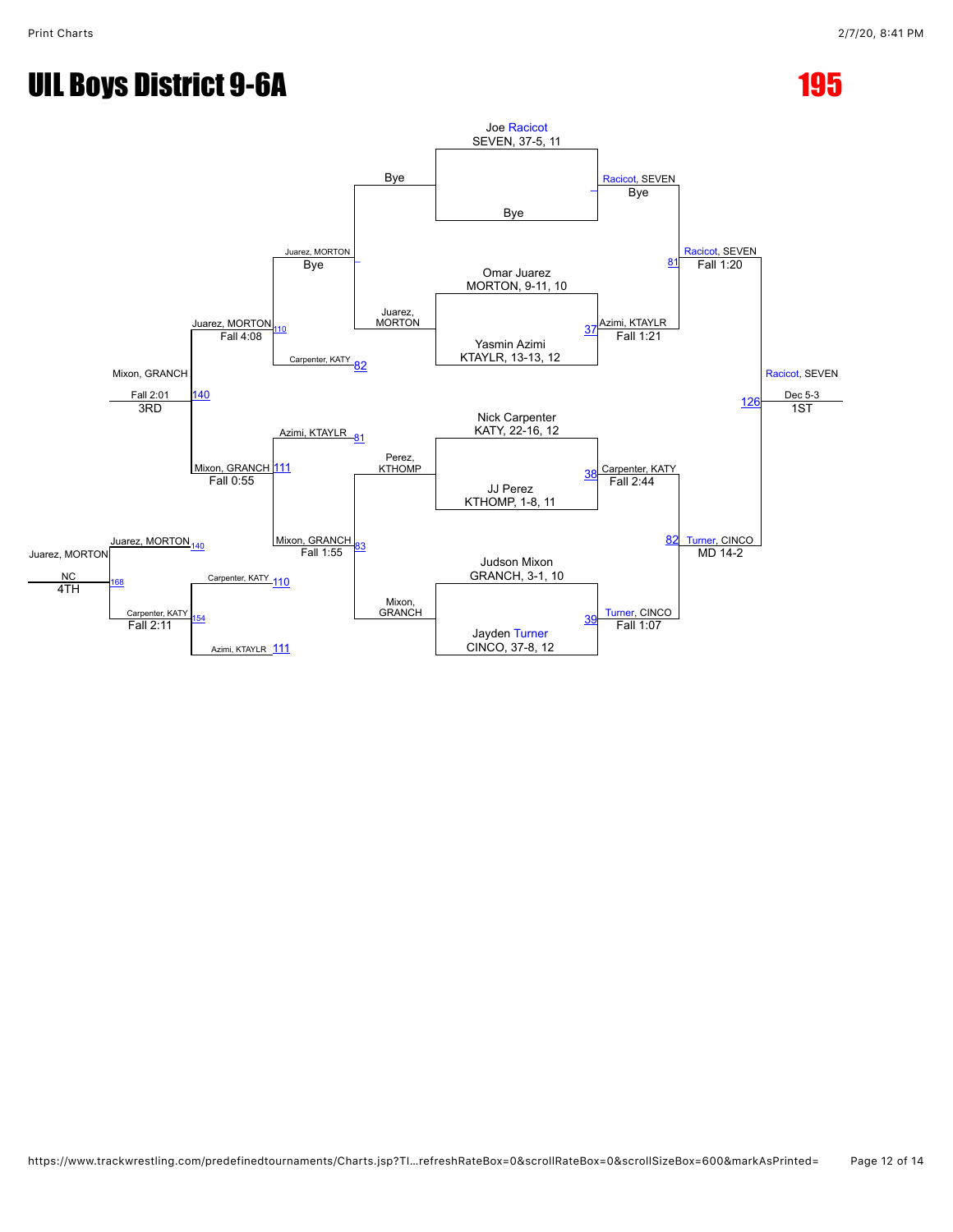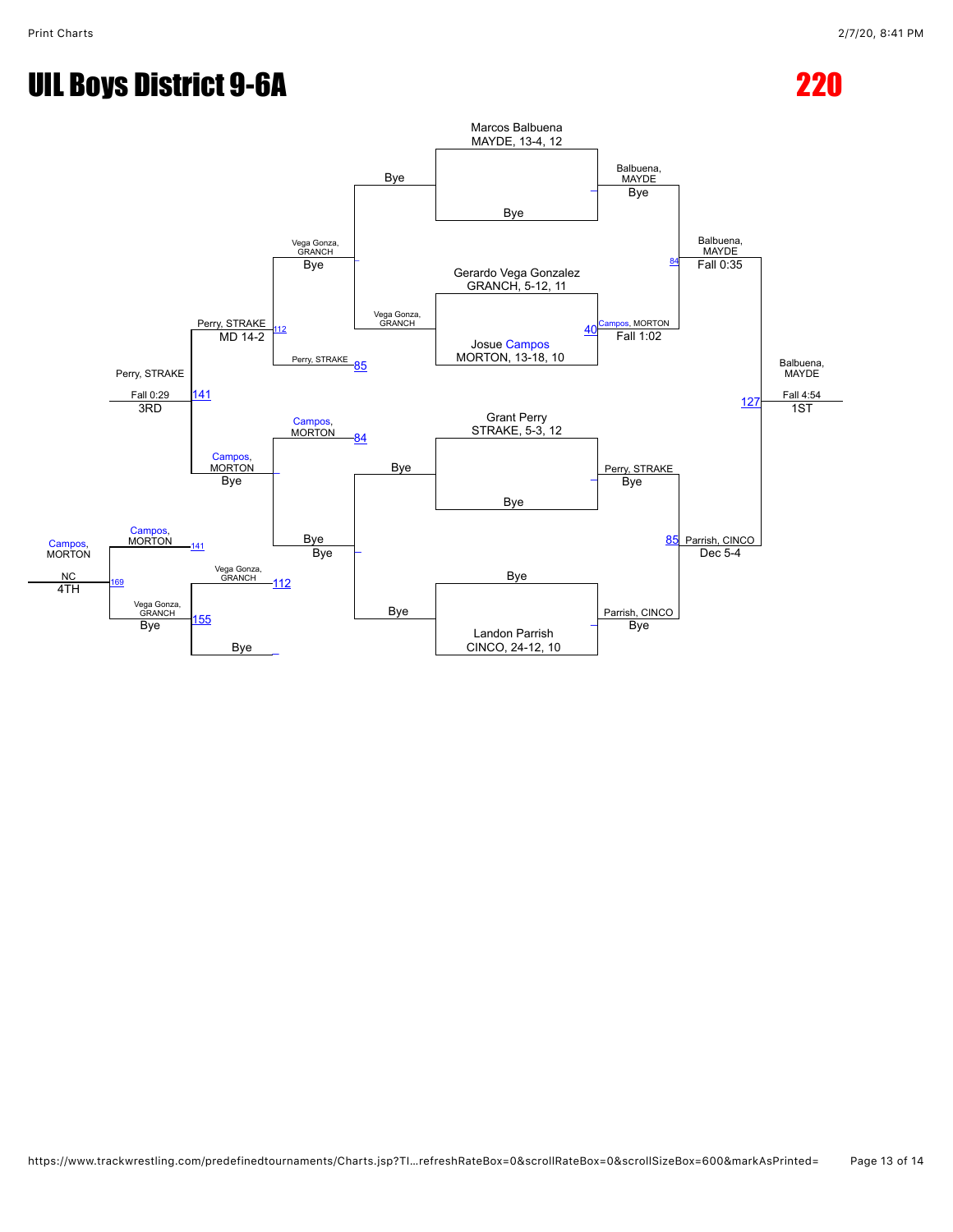